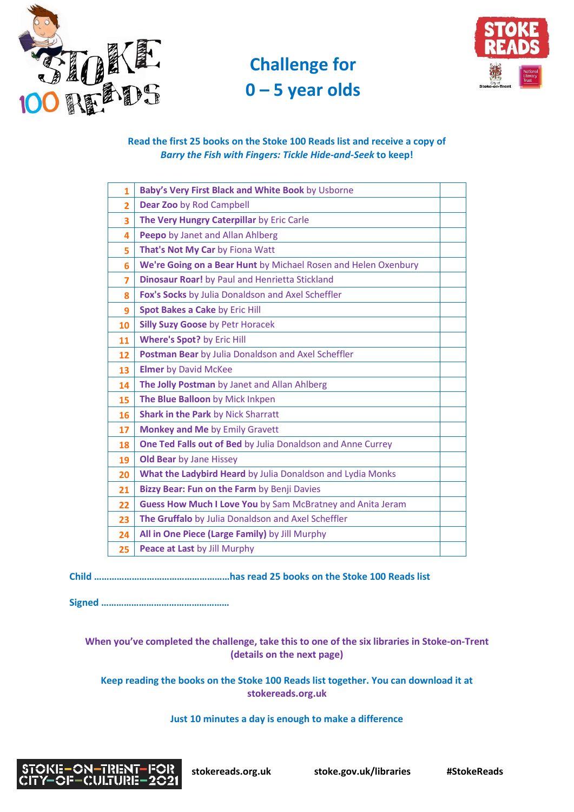

# **Challenge for – 5 year olds**



# **Read the first 25 books on the Stoke 100 Reads list and receive a copy of**  *Barry the Fish with Fingers: Tickle Hide-and-Seek* **to keep!**

| Baby's Very First Black and White Book by Usborne              |  |
|----------------------------------------------------------------|--|
| Dear Zoo by Rod Campbell                                       |  |
| The Very Hungry Caterpillar by Eric Carle                      |  |
| Peepo by Janet and Allan Ahlberg                               |  |
| That's Not My Car by Fiona Watt                                |  |
| We're Going on a Bear Hunt by Michael Rosen and Helen Oxenbury |  |
| Dinosaur Roar! by Paul and Henrietta Stickland                 |  |
| Fox's Socks by Julia Donaldson and Axel Scheffler              |  |
| Spot Bakes a Cake by Eric Hill                                 |  |
| <b>Silly Suzy Goose by Petr Horacek</b>                        |  |
| <b>Where's Spot?</b> by Eric Hill                              |  |
| Postman Bear by Julia Donaldson and Axel Scheffler             |  |
| <b>Elmer</b> by David McKee                                    |  |
| The Jolly Postman by Janet and Allan Ahlberg                   |  |
| The Blue Balloon by Mick Inkpen                                |  |
| <b>Shark in the Park by Nick Sharratt</b>                      |  |
| <b>Monkey and Me by Emily Gravett</b>                          |  |
| One Ted Falls out of Bed by Julia Donaldson and Anne Currey    |  |
| <b>Old Bear</b> by Jane Hissey                                 |  |
| What the Ladybird Heard by Julia Donaldson and Lydia Monks     |  |
| Bizzy Bear: Fun on the Farm by Benji Davies                    |  |
| Guess How Much I Love You by Sam McBratney and Anita Jeram     |  |
| The Gruffalo by Julia Donaldson and Axel Scheffler             |  |
| All in One Piece (Large Family) by Jill Murphy                 |  |
| Peace at Last by Jill Murphy                                   |  |
|                                                                |  |

**Child ………………………………………………has read 25 books on the Stoke 100 Reads list** 

**Signed ……………………………………………** 

**When you've completed the challenge, take this to one of the six libraries in Stoke-on-Trent (details on the next page)** 

**Keep reading the books on the Stoke 100 Reads list together. You can download it at stokereads.org.uk**

## **Just 10 minutes a day is enough to make a difference**



 **stokereads.org.uk stoke.gov.uk/libraries [#S](https://twitter.com/hashtag/LiteracyPledge?src=hash)tokeReads**